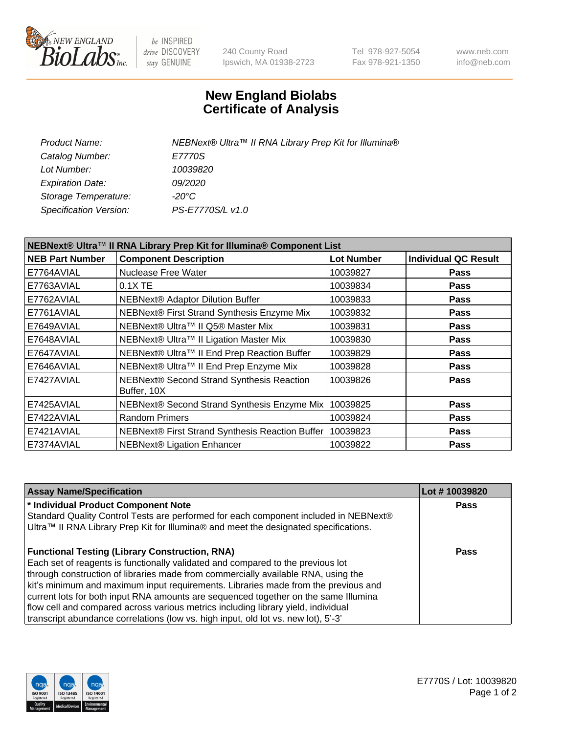

be INSPIRED drive DISCOVERY stay GENUINE

240 County Road Ipswich, MA 01938-2723 Tel 978-927-5054 Fax 978-921-1350 www.neb.com info@neb.com

## **New England Biolabs Certificate of Analysis**

| Product Name:           | NEBNext® Ultra™ II RNA Library Prep Kit for Illumina® |
|-------------------------|-------------------------------------------------------|
| Catalog Number:         | E7770S                                                |
| Lot Number:             | 10039820                                              |
| <b>Expiration Date:</b> | <i>09/2020</i>                                        |
| Storage Temperature:    | -20°C                                                 |
| Specification Version:  | PS-E7770S/L v1.0                                      |
|                         |                                                       |

| NEBNext® Ultra™ II RNA Library Prep Kit for Illumina® Component List |                                                            |                   |                             |  |  |
|----------------------------------------------------------------------|------------------------------------------------------------|-------------------|-----------------------------|--|--|
| <b>NEB Part Number</b>                                               | <b>Component Description</b>                               | <b>Lot Number</b> | <b>Individual QC Result</b> |  |  |
| E7764AVIAL                                                           | <b>Nuclease Free Water</b>                                 | 10039827          | <b>Pass</b>                 |  |  |
| E7763AVIAL                                                           | $0.1X$ TE                                                  | 10039834          | <b>Pass</b>                 |  |  |
| E7762AVIAL                                                           | <b>NEBNext® Adaptor Dilution Buffer</b>                    | 10039833          | <b>Pass</b>                 |  |  |
| E7761AVIAL                                                           | NEBNext® First Strand Synthesis Enzyme Mix                 | 10039832          | <b>Pass</b>                 |  |  |
| E7649AVIAL                                                           | NEBNext® Ultra™ II Q5® Master Mix                          | 10039831          | <b>Pass</b>                 |  |  |
| E7648AVIAL                                                           | NEBNext® Ultra™ II Ligation Master Mix                     | 10039830          | <b>Pass</b>                 |  |  |
| E7647AVIAL                                                           | NEBNext® Ultra™ II End Prep Reaction Buffer                | 10039829          | <b>Pass</b>                 |  |  |
| E7646AVIAL                                                           | NEBNext® Ultra™ II End Prep Enzyme Mix                     | 10039828          | <b>Pass</b>                 |  |  |
| E7427AVIAL                                                           | NEBNext® Second Strand Synthesis Reaction<br>Buffer, 10X   | 10039826          | <b>Pass</b>                 |  |  |
| E7425AVIAL                                                           | NEBNext® Second Strand Synthesis Enzyme Mix                | 10039825          | <b>Pass</b>                 |  |  |
| E7422AVIAL                                                           | <b>Random Primers</b>                                      | 10039824          | <b>Pass</b>                 |  |  |
| E7421AVIAL                                                           | NEBNext® First Strand Synthesis Reaction Buffer   10039823 |                   | <b>Pass</b>                 |  |  |
| E7374AVIAL                                                           | NEBNext® Ligation Enhancer                                 | 10039822          | <b>Pass</b>                 |  |  |

| <b>Assay Name/Specification</b>                                                                                                                                                                                                                                                                                                                                                                                                                                                                                                                                                       | Lot #10039820 |
|---------------------------------------------------------------------------------------------------------------------------------------------------------------------------------------------------------------------------------------------------------------------------------------------------------------------------------------------------------------------------------------------------------------------------------------------------------------------------------------------------------------------------------------------------------------------------------------|---------------|
| * Individual Product Component Note<br>Standard Quality Control Tests are performed for each component included in NEBNext®<br>Ultra™ II RNA Library Prep Kit for Illumina® and meet the designated specifications.                                                                                                                                                                                                                                                                                                                                                                   | <b>Pass</b>   |
| <b>Functional Testing (Library Construction, RNA)</b><br>Each set of reagents is functionally validated and compared to the previous lot<br>through construction of libraries made from commercially available RNA, using the<br>kit's minimum and maximum input requirements. Libraries made from the previous and<br>current lots for both input RNA amounts are sequenced together on the same Illumina<br>flow cell and compared across various metrics including library yield, individual<br>transcript abundance correlations (low vs. high input, old lot vs. new lot), 5'-3' | Pass          |